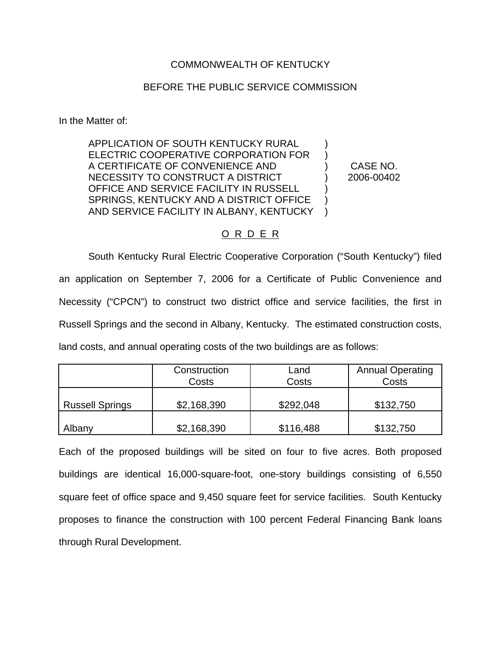# COMMONWEALTH OF KENTUCKY

## BEFORE THE PUBLIC SERVICE COMMISSION

In the Matter of:

APPLICATION OF SOUTH KENTUCKY RURAL ELECTRIC COOPERATIVE CORPORATION FOR A CERTIFICATE OF CONVENIENCE AND NECESSITY TO CONSTRUCT A DISTRICT OFFICE AND SERVICE FACILITY IN RUSSELL SPRINGS, KENTUCKY AND A DISTRICT OFFICE AND SERVICE FACILITY IN ALBANY, KENTUCKY ) ) ) ) ) )  $\lambda$ 

CASE NO. 2006-00402

## O R D E R

South Kentucky Rural Electric Cooperative Corporation ("South Kentucky") filed an application on September 7, 2006 for a Certificate of Public Convenience and Necessity ("CPCN") to construct two district office and service facilities, the first in Russell Springs and the second in Albany, Kentucky. The estimated construction costs, land costs, and annual operating costs of the two buildings are as follows:

|                        | Construction<br>Land<br>Costs<br>Costs |           | <b>Annual Operating</b><br>Costs |  |
|------------------------|----------------------------------------|-----------|----------------------------------|--|
| <b>Russell Springs</b> | \$2,168,390                            | \$292,048 | \$132,750                        |  |
| Albany                 | \$2,168,390                            | \$116,488 | \$132,750                        |  |

Each of the proposed buildings will be sited on four to five acres. Both proposed buildings are identical 16,000-square-foot, one-story buildings consisting of 6,550 square feet of office space and 9,450 square feet for service facilities. South Kentucky proposes to finance the construction with 100 percent Federal Financing Bank loans through Rural Development.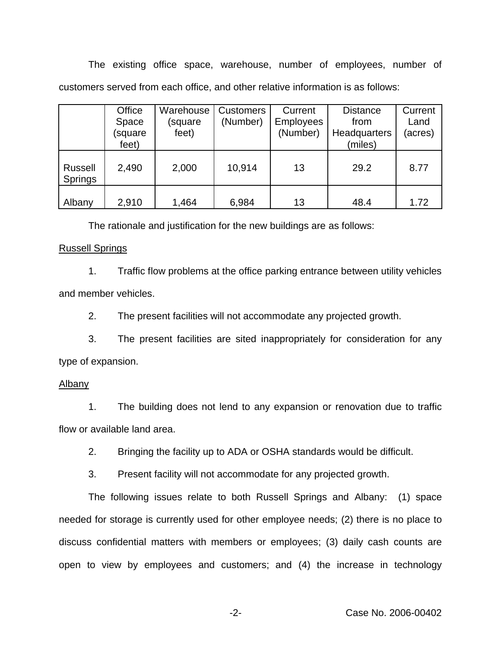The existing office space, warehouse, number of employees, number of customers served from each office, and other relative information is as follows:

|                           | Office  | Warehouse | <b>Customers</b> | Current          | <b>Distance</b> | Current |
|---------------------------|---------|-----------|------------------|------------------|-----------------|---------|
|                           | Space   | (square   | (Number)         | <b>Employees</b> | from            | Land    |
|                           | (square | feet)     |                  | (Number)         | Headquarters    | (acres) |
|                           | feet)   |           |                  |                  | (miles)         |         |
| <b>Russell</b><br>Springs | 2,490   | 2,000     | 10,914           | 13               | 29.2            | 8.77    |
| Albany                    | 2,910   | 1,464     | 6,984            | 13               | 48.4            | 1.72    |

The rationale and justification for the new buildings are as follows:

#### Russell Springs

1. Traffic flow problems at the office parking entrance between utility vehicles and member vehicles.

2. The present facilities will not accommodate any projected growth.

3. The present facilities are sited inappropriately for consideration for any type of expansion.

## Albany

1. The building does not lend to any expansion or renovation due to traffic flow or available land area.

2. Bringing the facility up to ADA or OSHA standards would be difficult.

3. Present facility will not accommodate for any projected growth.

The following issues relate to both Russell Springs and Albany: (1) space needed for storage is currently used for other employee needs; (2) there is no place to discuss confidential matters with members or employees; (3) daily cash counts are open to view by employees and customers; and (4) the increase in technology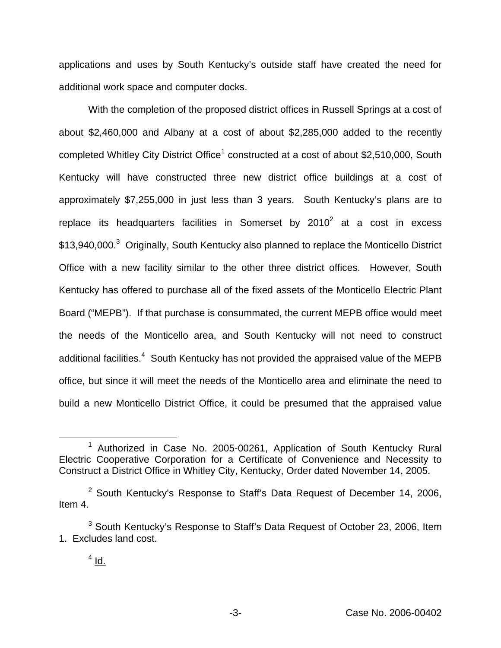applications and uses by South Kentucky's outside staff have created the need for additional work space and computer docks.

With the completion of the proposed district offices in Russell Springs at a cost of about \$2,460,000 and Albany at a cost of about \$2,285,000 added to the recently completed Whitley City District Office<sup>1</sup> constructed at a cost of about \$2,510,000, South Kentucky will have constructed three new district office buildings at a cost of approximately \$7,255,000 in just less than 3 years. South Kentucky's plans are to replace its headquarters facilities in Somerset by  $2010^2$  at a cost in excess \$13,940,000.<sup>3</sup> Originally, South Kentucky also planned to replace the Monticello District Office with a new facility similar to the other three district offices. However, South Kentucky has offered to purchase all of the fixed assets of the Monticello Electric Plant Board ("MEPB"). If that purchase is consummated, the current MEPB office would meet the needs of the Monticello area, and South Kentucky will not need to construct additional facilities.<sup>4</sup> South Kentucky has not provided the appraised value of the MEPB office, but since it will meet the needs of the Monticello area and eliminate the need to build a new Monticello District Office, it could be presumed that the appraised value

<sup>1</sup> Authorized in Case No. 2005-00261, Application of South Kentucky Rural Electric Cooperative Corporation for a Certificate of Convenience and Necessity to Construct a District Office in Whitley City, Kentucky, Order dated November 14, 2005.

 $2$  South Kentucky's Response to Staff's Data Request of December 14, 2006, Item 4.

 $3$  South Kentucky's Response to Staff's Data Request of October 23, 2006, Item 1. Excludes land cost.

 $4$  Id.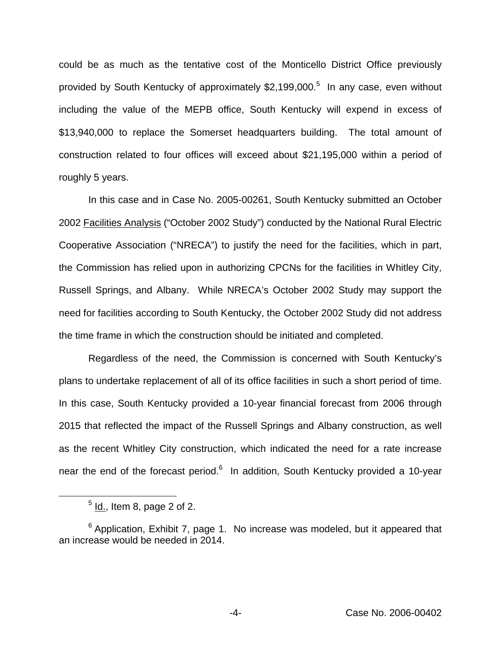could be as much as the tentative cost of the Monticello District Office previously provided by South Kentucky of approximately \$2,199,000.<sup>5</sup> In any case, even without including the value of the MEPB office, South Kentucky will expend in excess of \$13,940,000 to replace the Somerset headquarters building. The total amount of construction related to four offices will exceed about \$21,195,000 within a period of roughly 5 years.

In this case and in Case No. 2005-00261, South Kentucky submitted an October 2002 Facilities Analysis ("October 2002 Study") conducted by the National Rural Electric Cooperative Association ("NRECA") to justify the need for the facilities, which in part, the Commission has relied upon in authorizing CPCNs for the facilities in Whitley City, Russell Springs, and Albany. While NRECA's October 2002 Study may support the need for facilities according to South Kentucky, the October 2002 Study did not address the time frame in which the construction should be initiated and completed.

Regardless of the need, the Commission is concerned with South Kentucky's plans to undertake replacement of all of its office facilities in such a short period of time. In this case, South Kentucky provided a 10-year financial forecast from 2006 through 2015 that reflected the impact of the Russell Springs and Albany construction, as well as the recent Whitley City construction, which indicated the need for a rate increase near the end of the forecast period.<sup>6</sup> In addition, South Kentucky provided a 10-year

 $<sup>5</sup>$  Id., Item 8, page 2 of 2.</sup>

 $6$  Application, Exhibit 7, page 1. No increase was modeled, but it appeared that an increase would be needed in 2014.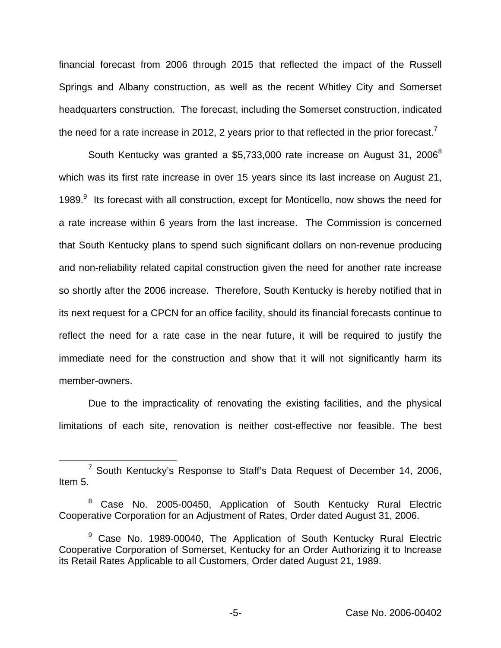financial forecast from 2006 through 2015 that reflected the impact of the Russell Springs and Albany construction, as well as the recent Whitley City and Somerset headquarters construction. The forecast, including the Somerset construction, indicated the need for a rate increase in 2012, 2 years prior to that reflected in the prior forecast.<sup>7</sup>

South Kentucky was granted a \$5,733,000 rate increase on August 31, 2006 $^8$ which was its first rate increase in over 15 years since its last increase on August 21, 1989. $9$  Its forecast with all construction, except for Monticello, now shows the need for a rate increase within 6 years from the last increase. The Commission is concerned that South Kentucky plans to spend such significant dollars on non-revenue producing and non-reliability related capital construction given the need for another rate increase so shortly after the 2006 increase. Therefore, South Kentucky is hereby notified that in its next request for a CPCN for an office facility, should its financial forecasts continue to reflect the need for a rate case in the near future, it will be required to justify the immediate need for the construction and show that it will not significantly harm its member-owners.

Due to the impracticality of renovating the existing facilities, and the physical limitations of each site, renovation is neither cost-effective nor feasible. The best

<sup>7</sup> South Kentucky's Response to Staff's Data Request of December 14, 2006, Item 5.

Case No. 2005-00450, Application of South Kentucky Rural Electric Cooperative Corporation for an Adjustment of Rates, Order dated August 31, 2006.

<sup>&</sup>lt;sup>9</sup> Case No. 1989-00040, The Application of South Kentucky Rural Electric Cooperative Corporation of Somerset, Kentucky for an Order Authorizing it to Increase its Retail Rates Applicable to all Customers, Order dated August 21, 1989.